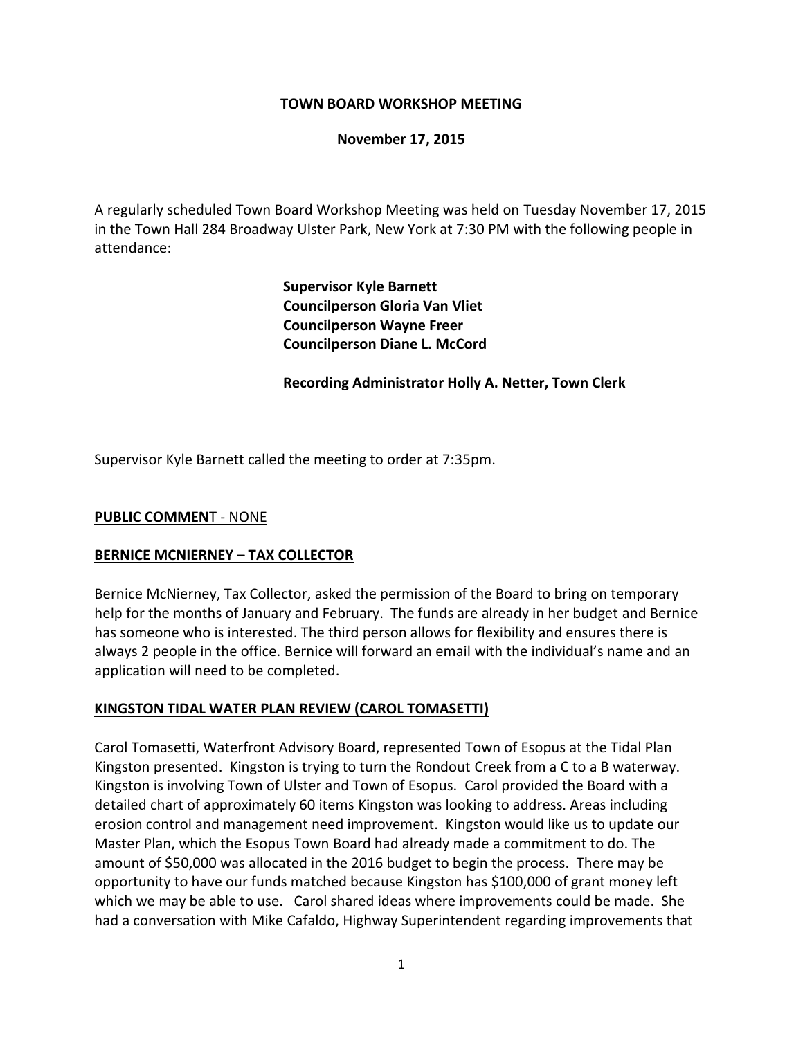# **TOWN BOARD WORKSHOP MEETING**

# **November 17, 2015**

A regularly scheduled Town Board Workshop Meeting was held on Tuesday November 17, 2015 in the Town Hall 284 Broadway Ulster Park, New York at 7:30 PM with the following people in attendance:

> **Supervisor Kyle Barnett Councilperson Gloria Van Vliet Councilperson Wayne Freer Councilperson Diane L. McCord**

**Recording Administrator Holly A. Netter, Town Clerk**

Supervisor Kyle Barnett called the meeting to order at 7:35pm.

## **PUBLIC COMMEN**T - NONE

## **BERNICE MCNIERNEY – TAX COLLECTOR**

Bernice McNierney, Tax Collector, asked the permission of the Board to bring on temporary help for the months of January and February. The funds are already in her budget and Bernice has someone who is interested. The third person allows for flexibility and ensures there is always 2 people in the office. Bernice will forward an email with the individual's name and an application will need to be completed.

## **KINGSTON TIDAL WATER PLAN REVIEW (CAROL TOMASETTI)**

Carol Tomasetti, Waterfront Advisory Board, represented Town of Esopus at the Tidal Plan Kingston presented. Kingston is trying to turn the Rondout Creek from a C to a B waterway. Kingston is involving Town of Ulster and Town of Esopus. Carol provided the Board with a detailed chart of approximately 60 items Kingston was looking to address. Areas including erosion control and management need improvement. Kingston would like us to update our Master Plan, which the Esopus Town Board had already made a commitment to do. The amount of \$50,000 was allocated in the 2016 budget to begin the process. There may be opportunity to have our funds matched because Kingston has \$100,000 of grant money left which we may be able to use. Carol shared ideas where improvements could be made. She had a conversation with Mike Cafaldo, Highway Superintendent regarding improvements that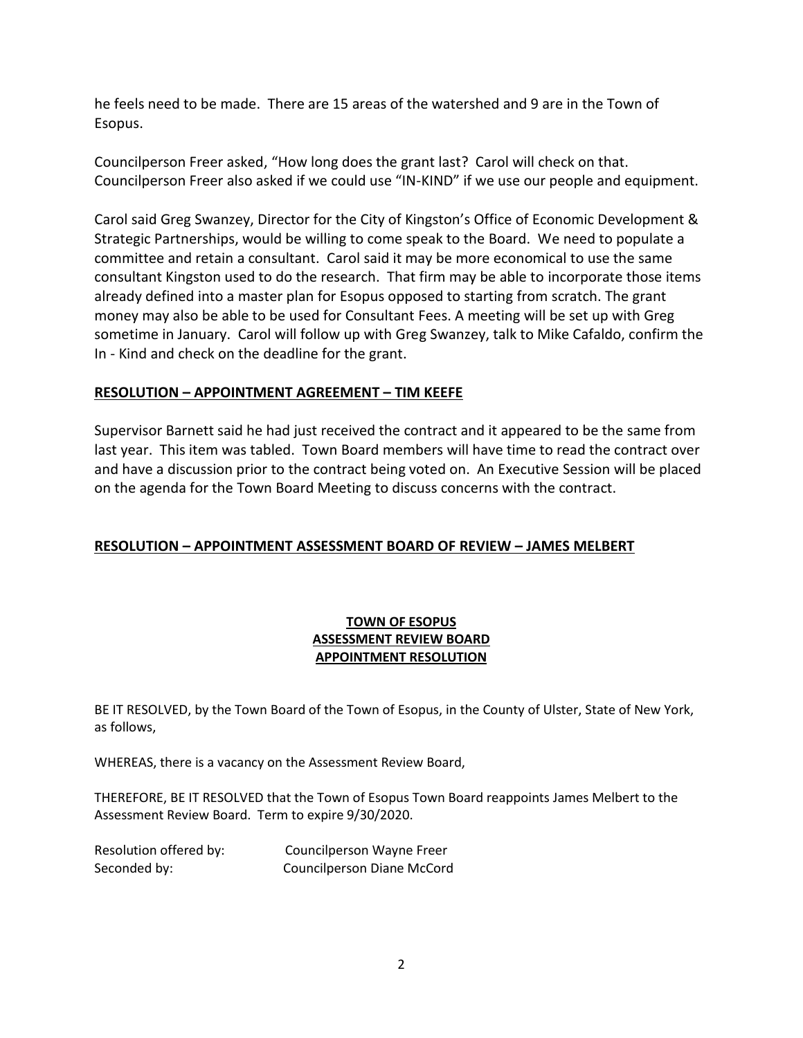he feels need to be made. There are 15 areas of the watershed and 9 are in the Town of Esopus.

Councilperson Freer asked, "How long does the grant last? Carol will check on that. Councilperson Freer also asked if we could use "IN-KIND" if we use our people and equipment.

Carol said Greg Swanzey, Director for the City of Kingston's Office of Economic Development & Strategic Partnerships, would be willing to come speak to the Board. We need to populate a committee and retain a consultant. Carol said it may be more economical to use the same consultant Kingston used to do the research. That firm may be able to incorporate those items already defined into a master plan for Esopus opposed to starting from scratch. The grant money may also be able to be used for Consultant Fees. A meeting will be set up with Greg sometime in January. Carol will follow up with Greg Swanzey, talk to Mike Cafaldo, confirm the In - Kind and check on the deadline for the grant.

# **RESOLUTION – APPOINTMENT AGREEMENT – TIM KEEFE**

Supervisor Barnett said he had just received the contract and it appeared to be the same from last year. This item was tabled. Town Board members will have time to read the contract over and have a discussion prior to the contract being voted on. An Executive Session will be placed on the agenda for the Town Board Meeting to discuss concerns with the contract.

# **RESOLUTION – APPOINTMENT ASSESSMENT BOARD OF REVIEW – JAMES MELBERT**

# **TOWN OF ESOPUS ASSESSMENT REVIEW BOARD APPOINTMENT RESOLUTION**

BE IT RESOLVED, by the Town Board of the Town of Esopus, in the County of Ulster, State of New York, as follows,

WHEREAS, there is a vacancy on the Assessment Review Board,

THEREFORE, BE IT RESOLVED that the Town of Esopus Town Board reappoints James Melbert to the Assessment Review Board. Term to expire 9/30/2020.

| Resolution offered by: | Councilperson Wayne Freer  |
|------------------------|----------------------------|
| Seconded by:           | Councilperson Diane McCord |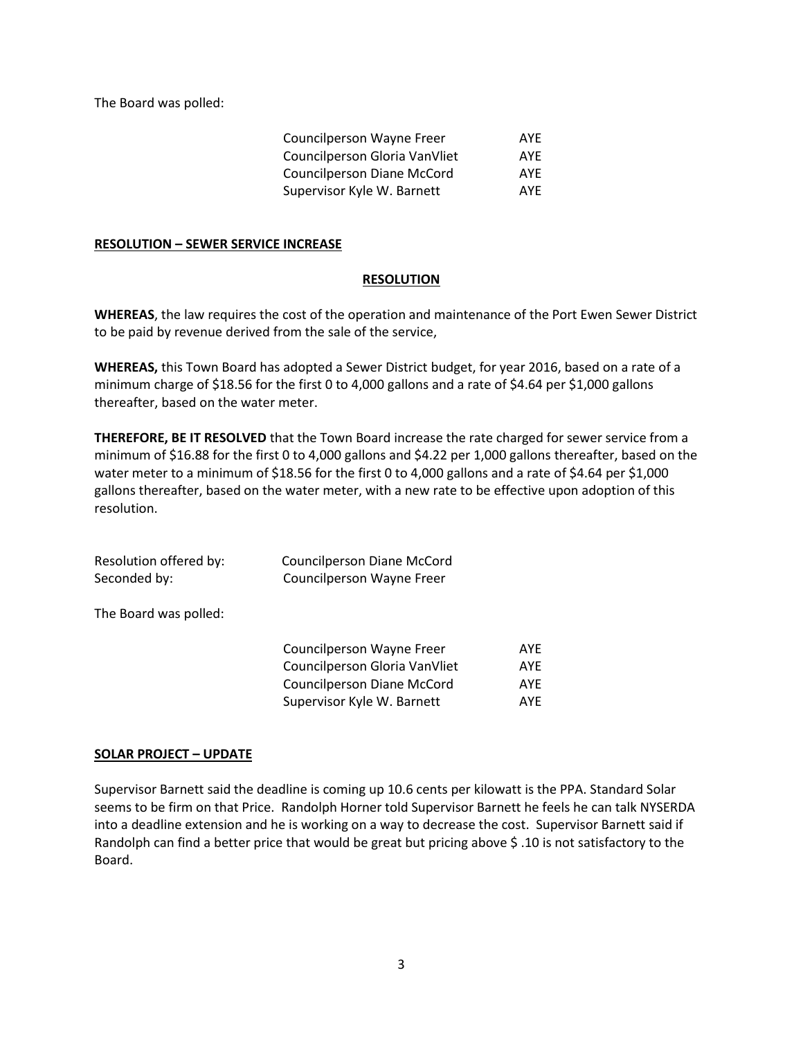The Board was polled:

| <b>Councilperson Wayne Freer</b>  | AYF |
|-----------------------------------|-----|
| Councilperson Gloria VanVliet     | AYF |
| <b>Councilperson Diane McCord</b> | AYF |
| Supervisor Kyle W. Barnett        | AYF |

#### **RESOLUTION – SEWER SERVICE INCREASE**

#### **RESOLUTION**

**WHEREAS**, the law requires the cost of the operation and maintenance of the Port Ewen Sewer District to be paid by revenue derived from the sale of the service,

**WHEREAS,** this Town Board has adopted a Sewer District budget, for year 2016, based on a rate of a minimum charge of \$18.56 for the first 0 to 4,000 gallons and a rate of \$4.64 per \$1,000 gallons thereafter, based on the water meter.

**THEREFORE, BE IT RESOLVED** that the Town Board increase the rate charged for sewer service from a minimum of \$16.88 for the first 0 to 4,000 gallons and \$4.22 per 1,000 gallons thereafter, based on the water meter to a minimum of \$18.56 for the first 0 to 4,000 gallons and a rate of \$4.64 per \$1,000 gallons thereafter, based on the water meter, with a new rate to be effective upon adoption of this resolution.

| Resolution offered by:<br>Seconded by: | Councilperson Diane McCord<br>Councilperson Wayne Freer |      |
|----------------------------------------|---------------------------------------------------------|------|
| The Board was polled:                  |                                                         |      |
|                                        | Councilperson Wayne Freer                               | AYE  |
|                                        | Councilperson Gloria VanVliet                           | AYE  |
|                                        | <b>Councilperson Diane McCord</b>                       | AYE  |
|                                        | Supervisor Kyle W. Barnett                              | AYE. |

## **SOLAR PROJECT – UPDATE**

Supervisor Barnett said the deadline is coming up 10.6 cents per kilowatt is the PPA. Standard Solar seems to be firm on that Price. Randolph Horner told Supervisor Barnett he feels he can talk NYSERDA into a deadline extension and he is working on a way to decrease the cost. Supervisor Barnett said if Randolph can find a better price that would be great but pricing above \$ .10 is not satisfactory to the Board.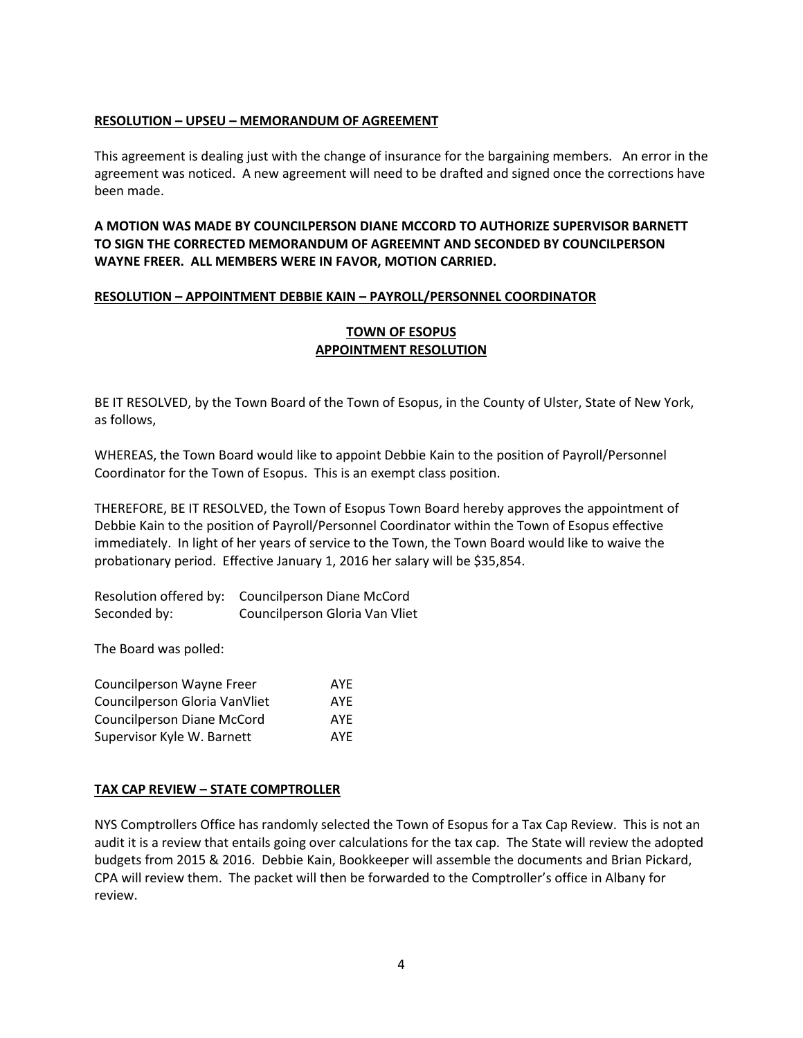## **RESOLUTION – UPSEU – MEMORANDUM OF AGREEMENT**

This agreement is dealing just with the change of insurance for the bargaining members. An error in the agreement was noticed. A new agreement will need to be drafted and signed once the corrections have been made.

## **A MOTION WAS MADE BY COUNCILPERSON DIANE MCCORD TO AUTHORIZE SUPERVISOR BARNETT TO SIGN THE CORRECTED MEMORANDUM OF AGREEMNT AND SECONDED BY COUNCILPERSON WAYNE FREER. ALL MEMBERS WERE IN FAVOR, MOTION CARRIED.**

#### **RESOLUTION – APPOINTMENT DEBBIE KAIN – PAYROLL/PERSONNEL COORDINATOR**

## **TOWN OF ESOPUS APPOINTMENT RESOLUTION**

BE IT RESOLVED, by the Town Board of the Town of Esopus, in the County of Ulster, State of New York, as follows,

WHEREAS, the Town Board would like to appoint Debbie Kain to the position of Payroll/Personnel Coordinator for the Town of Esopus. This is an exempt class position.

THEREFORE, BE IT RESOLVED, the Town of Esopus Town Board hereby approves the appointment of Debbie Kain to the position of Payroll/Personnel Coordinator within the Town of Esopus effective immediately. In light of her years of service to the Town, the Town Board would like to waive the probationary period. Effective January 1, 2016 her salary will be \$35,854.

Resolution offered by: Councilperson Diane McCord Seconded by: Councilperson Gloria Van Vliet

The Board was polled:

| Councilperson Wayne Freer         | AYF |
|-----------------------------------|-----|
| Councilperson Gloria VanVliet     | AYF |
| <b>Councilperson Diane McCord</b> | AYF |
| Supervisor Kyle W. Barnett        | AYF |

## **TAX CAP REVIEW – STATE COMPTROLLER**

NYS Comptrollers Office has randomly selected the Town of Esopus for a Tax Cap Review. This is not an audit it is a review that entails going over calculations for the tax cap. The State will review the adopted budgets from 2015 & 2016. Debbie Kain, Bookkeeper will assemble the documents and Brian Pickard, CPA will review them. The packet will then be forwarded to the Comptroller's office in Albany for review.